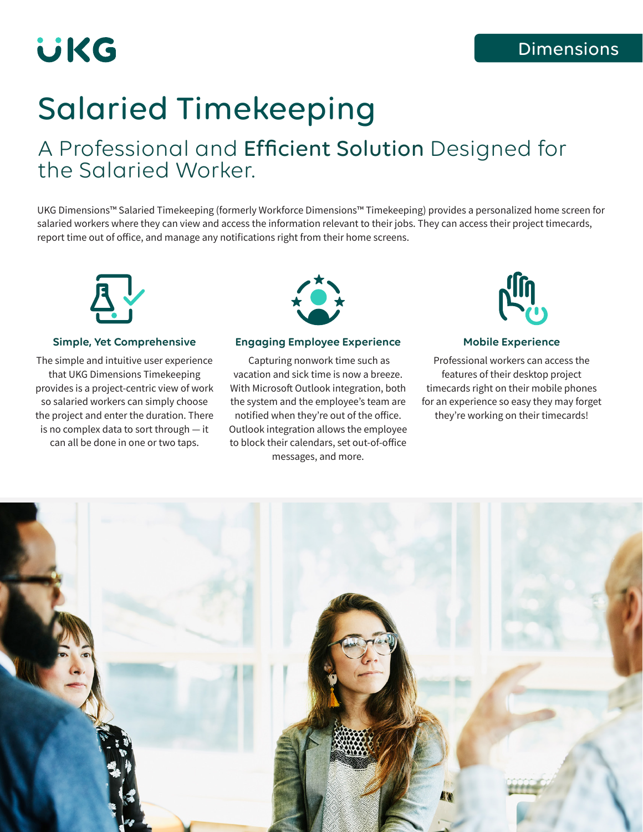# **UKG**

## Salaried Timekeeping

### A Professional and Efficient Solution Designed for the Salaried Worker.

UKG Dimensions™ Salaried Timekeeping (formerly Workforce Dimensions™ Timekeeping) provides a personalized home screen for salaried workers where they can view and access the information relevant to their jobs. They can access their project timecards, report time out of office, and manage any notifications right from their home screens.



### **Simple, Yet Comprehensive**

The simple and intuitive user experience that UKG Dimensions Timekeeping provides is a project-centric view of work so salaried workers can simply choose the project and enter the duration. There is no complex data to sort through — it can all be done in one or two taps.



### **Engaging Employee Experience**

 Capturing nonwork time such as vacation and sick time is now a breeze. With Microsoft Outlook integration, both the system and the employee's team are notified when they're out of the office. Outlook integration allows the employee to block their calendars, set out-of-office messages, and more.



### **Mobile Experience**

Professional workers can access the features of their desktop project timecards right on their mobile phones for an experience so easy they may forget they're working on their timecards!